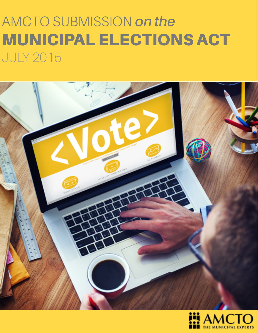# AMCTO SUBMISSION *on the* MUNICIPAL ELECTIONS ACT JULY 2015



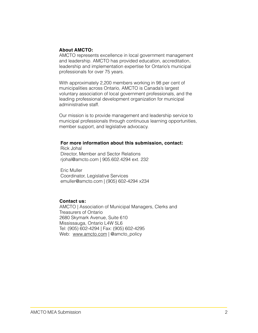#### **About AMCTO:**

AMCTO represents excellence in local government management and leadership. AMCTO has provided education, accreditation, leadership and implementation expertise for Ontario's municipal professionals for over 75 years.

With approximately 2,200 members working in 98 per cent of municipalities across Ontario, AMCTO is Canada's largest voluntary association of local government professionals, and the leading professional development organization for municipal administrative staff.

Our mission is to provide management and leadership service to municipal professionals through continuous learning opportunities, member support, and legislative advocacy.

#### **For more information about this submission, contact:**

Rick Johal Director, Member and Sector Relations rjohal@amcto.com | 905.602.4294 ext. 232

Eric Muller Coordinator, Legislative Services [emuller@amcto.com](mailto:emuller@amcto.com) | (905) 602-4294 x234

#### **Contact us:**

AMCTO | Association of Municipal Managers, Clerks and Treasurers of Ontario 2680 Skymark Avenue, Suite 610 Mississauga, Ontario L4W 5L6 Tel: (905) 602-4294 | Fax: (905) 602-4295 Web: [www.amcto.com](http://www.amcto.com) | @amcto\_policy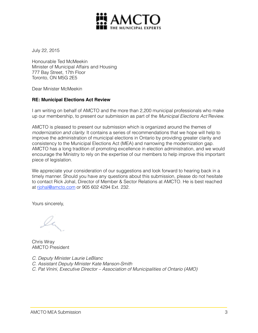

July 22, 2015

Honourable Ted McMeekin Minister of Municipal Affairs and Housing 777 Bay Street, 17th Floor Toronto, ON M5G 2E5

Dear Minister McMeekin

#### **RE: Municipal Elections Act Review**

I am writing on behalf of AMCTO and the more than 2,200 municipal professionals who make up our membership, to present our submission as part of the *Municipal Elections Act* Review.

AMCTO is pleased to present our submission which is organized around the themes of *modernization and clarity.* It contains a series of recommendations that we hope will help to improve the administration of municipal elections in Ontario by providing greater clarity and consistency to the Municipal Elections Act (MEA) and narrowing the modernization gap. AMCTO has a long tradition of promoting excellence in election administration, and we would encourage the Ministry to rely on the expertise of our members to help improve this important piece of legislation.

We appreciate your consideration of our suggestions and look forward to hearing back in a timely manner. Should you have any questions about this submission, please do not hesitate to contact Rick Johal, Director of Member & Sector Relations at AMCTO. He is best reached at [rjohal@amcto.com](mailto:rjohal@amcto.com) or 905 602 4294 Ext. 232.

Yours sincerely,

Chris Wray AMCTO President

*C. Deputy Minister Laurie LeBlanc*

*C. Assistant Deputy Minister Kate Manson-Smith* 

*C. Pat Vinini, Executive Director – Association of Municipalities of Ontario (AMO)*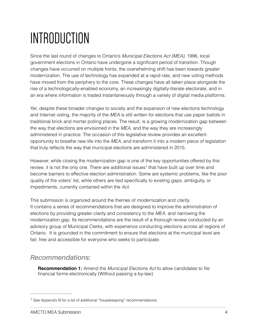# INTRODUCTION

Since the last round of changes to Ontario's *Municipal Elections Act (MEA)*, 1996, local government elections in Ontario have undergone a significant period of transition. Though changes have occurred on multiple fronts, the overwhelming shift has been towards greater modernization. The use of technology has expanded at a rapid rate, and new voting methods have moved from the periphery to the core. These changes have all taken place alongside the rise of a technologically-enabled economy, an increasingly digitally-literate electorate, and in an era where information is traded instantaneously through a variety of digital media platforms.

Yet, despite these broader changes to society and the expansion of new elections technology and Internet voting, the majority of the *MEA* is still written for elections that use paper ballots in traditional brick and mortar polling places. The result, is a growing modernization gap between the way that elections are envisioned in the *MEA,* and the way they are increasingly administered in practice. The occasion of this legislative review provides an excellent opportunity to breathe new life into the *MEA*, and transform it into a modern piece of legislation that truly reflects the way that municipal elections are administered in 2015.

However, while closing the modernization gap is one of the key opportunities offered by this review, it is not the only one. There are additional issues<sup>1</sup> that have built up over time and become barriers to effective election administration. Some are systemic problems, like the poor quality of the voters' list, while others are tied specifically to existing gaps, ambiguity, or impediments, currently contained within the *Act*.

This submission is organized around the themes of *modernization* and *clarity*. It contains a series of recommendations that are designed to improve the administration of elections by providing greater clarity and consistency to the *MEA*, and narrowing the modernization gap. Its recommendations are the result of a thorough review conducted by an advisory group of Municipal Clerks, with experience conducting elections across all regions of Ontario. It is grounded in the commitment to ensure that elections at the municipal level are fair, free and accessible for everyone who seeks to participate.

## *Recommendations:*

**Recommendation 1:** Amend the *Municipal Elections Act* to allow candidates to file financial forms electronically (Without passing a by-law)

 $1$  See Appendix B for a list of additional "housekeeping" recommendations.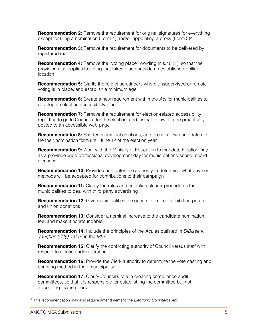**Recommendation 2:** Remove the requirement for original signatures for everything except for filing a nomination (Form 1) and/or appointing a proxy (Form  $3)^2$ 

**Recommendation 3:** Remove the requirement for documents to be delivered by registered mail

**Recommendation 4:** Remove the "voting place" wording in s.48 (1), so that the provision also applies to voting that takes place outside an established polling location

**Recommendation 5:** Clarify the role of scrutineers where unsupervised or remote voting is in place, and establish a minimum age

**Recommendation 6:** Create a new requirement within the *Act* for municipalities to develop an election accessibility plan

**Recommendation 7:** Remove the requirement for election-related accessibility reporting to go to Council after the election, and instead allow it to be proactively posted to an accessible web page

**Recommendation 8:** Shorten municipal elections, and do not allow candidates to file their nomination form until June 1<sup>st</sup> of the election year

**Recommendation 9:** Work with the Ministry of Education to mandate Election Day as a province-wide professional development day for municipal and school-board elections

**Recommendation 10:** Provide candidates the authority to determine what payment methods will be accepted for contributions to their campaign

**Recommendation 11:** Clarify the rules and establish clearer procedures for municipalities to deal with third party advertising

**Recommendation 12:** Give municipalities the option to limit or prohibit corporate and union donations

**Recommendation 13:** Consider a nominal increase to the candidate nomination fee, and make it nonrefundable

**Recommendation 14:** Include the principles of the *Act*, as outlined in *DiBiase v. Vaughan (City), 2007*, in the *MEA*

**Recommendation 15:** Clarify the conflicting authority of Council versus staff with respect to election administration

**Recommendation 16:** Provide the Clerk authority to determine the vote casting and counting method in their municipality

**Recommendation 17:** Clarify Council's role in creating compliance audit committees, so that it is responsible for establishing the committee but not appointing its members

This recommendation may also require amendments to the *Electronic Commerce Act* <sup>2</sup>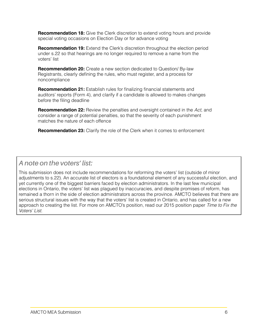**Recommendation 18:** Give the Clerk discretion to extend voting hours and provide special voting occasions on Election Day or for advance voting

**Recommendation 19:** Extend the Clerk's discretion throughout the election period under s.22 so that hearings are no longer required to remove a name from the voters' list

**Recommendation 20:** Create a new section dedicated to Question/ By-law Registrants, clearly defining the rules, who must register, and a process for noncompliance

**Recommendation 21:** Establish rules for finalizing financial statements and auditors' reports (Form 4), and clarify if a candidate is allowed to makes changes before the filing deadline

**Recommendation 22:** Review the penalties and oversight contained in the *Act*, and consider a range of potential penalties, so that the severity of each punishment matches the nature of each offence

**Recommendation 23:** Clarify the role of the Clerk when it comes to enforcement

## *A note on the voters' list:*

This submission does not include recommendations for reforming the voters' list (outside of minor adjustments to s.22). An accurate list of electors is a foundational element of any successful election, and yet currently one of the biggest barriers faced by election administrators. In the last few municipal elections in Ontario, the voters' list was plagued by inaccuracies, and despite promises of reform, has remained a thorn in the side of election administrators across the province. AMCTO believes that there are serious structural issues with the way that the voters' list is created in Ontario, and has called for a new [approach to creating the list. For more on AMCTO's position, read our 2015 position paper](http://www.amcto.com/imis15/content/GOVT_RELATIONS_ISSUES/AMCTO_Voters__List_Position_Paper_.aspx) *Time to Fix the Voters' List*.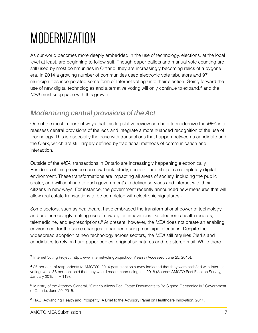# MODERNIZATION

As our world becomes more deeply embedded in the use of technology, elections, at the local level at least, are beginning to follow suit. Though paper ballots and manual vote counting are still used by most communities in Ontario, they are increasingly becoming relics of a bygone era. In 2014 a growing number of communities used electronic vote tabulators and 97 municipalities incorporated some form of Internet voting<sup>3</sup> into their election. Going forward the use of new digital technologies and alternative voting will only continue to expand, $4$  and the *MEA* must keep pace with this growth.

## *Modernizing central provisions of the Act*

One of the most important ways that this legislative review can help to modernize the *MEA* is to reassess central provisions of the *Act*, and integrate a more nuanced recognition of the use of technology. This is especially the case with transactions that happen between a candidate and the Clerk, which are still largely defined by traditional methods of communication and interaction.

Outside of the *MEA*, transactions in Ontario are increasingly happening electronically. Residents of this province can now bank, study, socialize and shop in a completely digital environment. These transformations are impacting all areas of society, including the public sector, and will continue to push government's to deliver services and interact with their citizens in new ways. For instance, the government recently announced new measures that will allow real estate transactions to be completed with electronic signatures.5

Some sectors, such as healthcare, have embraced the transformational power of technology, and are increasingly making use of new digital innovations like electronic health records, telemedicine, and e-prescriptions.<sup>6</sup> At present, however, the *MEA* does not create an enabling environment for the same changes to happen during municipal elections. Despite the widespread adoption of new technology across sectors, the *MEA* still requires Clerks and candidates to rely on hard paper copies, original signatures and registered mail. While there

Internet Voting Project, http://www.internetvotingproject.com/learn/ (Accessed June 25, 2015). <sup>3</sup>

<sup>86</sup> per cent of respondents to AMCTO's 2014 post-election survey indicated that they were satisfied with Internet <sup>4</sup> voting, while 56 per cent said that they would recommend using it in 2018 (Source: AMCTO Post Election Survey, January 2015,  $n = 119$ ).

Ministry of the Attorney General, "Ontario Allows Real Estate Documents to Be Signed Electronically," Government <sup>5</sup> of Ontario, June 29, 2015.

<sup>&</sup>lt;sup>6</sup> ITAC, Advancing Health and Prosperity: A Brief to the Advisory Panel on Healthcare Innovation, 2014.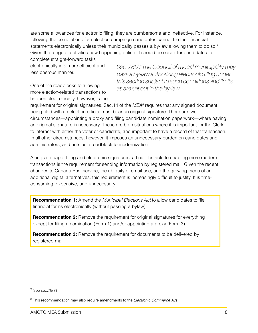are some allowances for electronic filing, they are cumbersome and ineffective. For instance, following the completion of an election campaign candidates cannot file their financial statements electronically unless their municipality passes a by-law allowing them to do so.7 Given the range of activities now happening online, it should be easier for candidates to

complete straight-forward tasks electronically in a more efficient and less onerous manner.

One of the roadblocks to allowing more election-related transactions to happen electronically, however, is the *Sec. 78(7):The Council of a local municipality may pass a by-law authorizing electronic filing under this section subject to such conditions and limits as are set out in the by-law*

requirement for original signatures. Sec.14 of the *MEA*<sup>8</sup> requires that any signed document being filed with an election official must bear an original signature. There are two circumstances—appointing a proxy and filing candidate nomination paperwork—where having an original signature is necessary. These are both situations where it is important for the Clerk to interact with either the voter or candidate, and important to have a record of that transaction. In all other circumstances, however, it imposes an unnecessary burden on candidates and administrators, and acts as a roadblock to modernization.

Alongside paper filing and electronic signatures, a final obstacle to enabling more modern transactions is the requirement for sending information by registered mail. Given the recent changes to Canada Post service, the ubiquity of email use, and the growing menu of an additional digital alternatives, this requirement is increasingly difficult to justify. It is timeconsuming, expensive, and unnecessary.

**Recommendation 1:** Amend the *Municipal Elections Act* to allow candidates to file financial forms electronically (without passing a bylaw)

**Recommendation 2:** Remove the requirement for original signatures for everything except for filing a nomination (Form 1) and/or appointing a proxy (Form 3)

**Recommendation 3:** Remove the requirement for documents to be delivered by registered mail

<sup>&</sup>lt;sup>7</sup> See sec.78(7)

This recommendation may also require amendments to the *Electronic Commerce Act* <sup>8</sup>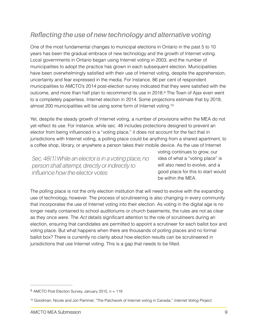## *Reflecting the use of new technology and alternative voting*

One of the most fundamental changes to municipal elections in Ontario in the past 5 to 10 years has been the gradual embrace of new technology and the growth of Internet voting. Local governments in Ontario began using Internet voting in 2003, and the number of municipalities to adopt the practice has grown in each subsequent election. Municipalities have been overwhelmingly satisfied with their use of Internet voting, despite the apprehension, uncertainty and fear expressed in the media. For instance, 86 per cent of respondent municipalities to AMCTO's 2014 post-election survey indicated that they were satisfied with the outcome, and more than half plan to recommend its use in 2018.<sup>9</sup> The Town of Ajax even went to a completely paperless, Internet election in 2014. Some projections estimate that by 2018, almost 200 municipalities will be using some form of Internet voting.10

Yet, despite the steady growth of Internet voting, a number of provisions within the MEA do not yet reflect its use. For instance, while sec. 48 includes protections designed to prevent an elector from being influenced in a "voting place," it does not account for the fact that in jurisdictions with Internet voting, a polling place could be anything from a shared apartment, to a coffee shop, library, or anywhere a person takes their mobile device. As the use of Internet

*Sec. 48(1):While an elector is in a voting place, no person shall attempt, directly or indirectly to influence how the elector votes*

voting continues to grow, our idea of what a "voting place" is will also need to evolve, and a good place for this to start would be within the MEA.

The polling place is not the only election institution that will need to evolve with the expanding use of technology, however. The process of scrutineering is also changing in every community that incorporates the use of Internet voting into their election. As voting in the digital age is no longer neatly contained to school auditoriums or church basements, the rules are not as clear as they once were. The *Act* details significant attention to the role of scrutineers during an election, ensuring that candidates are permitted to appoint a scrutineer for each ballot box and voting place. But what happens when there are thousands of polling places and no formal ballot box? There is currently no clarity about how election results can be scrutineered in jurisdictions that use Internet voting. This is a gap that needs to be filled.

 $9$  AMCTO Post Election Survey, January 2015, n = 119

<sup>&</sup>lt;sup>10</sup> Goodman, Nicole and Jon Pammet, "The Patchwork of Internet voting in Canada," Internet Voting Project.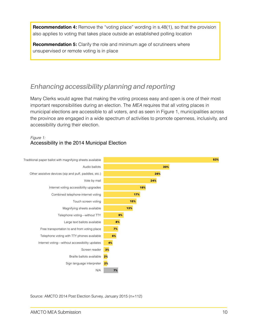**Recommendation 4:** Remove the "voting place" wording in s.48(1), so that the provision also applies to voting that takes place outside an established polling location

**Recommendation 5:** Clarify the role and minimum age of scrutineers where unsupervised or remote voting is in place

## *Enhancing accessibility planning and reporting*

Many Clerks would agree that making the voting process easy and open is one of their most important responsibilities during an election. The *MEA* requires that all voting places in municipal elections are accessible to all voters, and as seen in Figure 1, municipalities across the province are engaged in a wide spectrum of activities to promote openness, inclusivity, and accessibility during their election.

### *Figure 1:* Accessibility in the 2014 Municipal Election



Source: AMCTO 2014 Post Election Survey, January 2015 (n=112)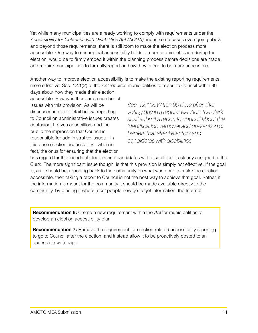Yet while many municipalities are already working to comply with requirements under the *Accessibility for Ontarians with Disabilities Act (AODA)* and in some cases even going above and beyond those requirements, there is still room to make the election process more accessible. One way to ensure that accessibility holds a more prominent place during the election, would be to firmly embed it within the planning process before decisions are made, and require municipalities to formally report on how they intend to be more accessible.

Another way to improve election accessibility is to make the existing reporting requirements more effective. Sec. 12.1(2) of the *Act* requires municipalities to report to Council within 90

days about how they made their election accessible. However, there are a number of issues with this provision. As will be discussed in more detail below, reporting to Council on administrative issues creates confusion. It gives councilllors and the public the impression that Council is responsible for administrative issues—in this case election accessibility—when in fact, the onus for ensuring that the election

*Sec. 12.1(2):Within 90 days after after voting day in a regular election, the clerk shall submit a report to council about the identification, removal and prevention of barriers that affect electors and candidates with disabilities*

has regard for the "needs of electors and candidates with disabilities" is clearly assigned to the Clerk. The more significant issue though, is that this provision is simply not effective. If the goal is, as it should be, reporting back to the community on what was done to make the election accessible, then taking a report to Council is not the best way to achieve that goal. Rather, if the information is meant for the community it should be made available directly to the community, by placing it where most people now go to get information: the Internet.

**Recommendation 6:** Create a new requirement within the *Act* for municipalities to develop an election accessibility plan

**Recommendation 7:** Remove the requirement for election-related accessibility reporting to go to Council after the election, and instead allow it to be proactively posted to an accessible web page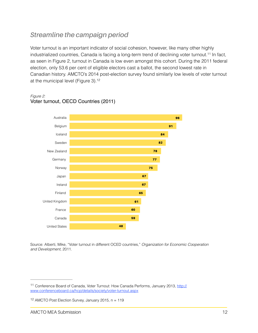## *Streamline the campaign period*

Voter turnout is an important indicator of social cohesion, however, like many other highly industrialized countries, Canada is facing a long-term trend of declining voter turnout.<sup>11</sup> In fact, as seen in Figure 2, turnout in Canada is low even amongst this cohort. During the 2011 federal election, only 53.6 per cent of eligible electors cast a ballot, the second lowest rate in Canadian history. AMCTO's 2014 post-election survey found similarly low levels of voter turnout at the municipal level (Figure 3).12



#### *Figure 2:* Voter turnout, OECD Countries (2011)

Source: Alberti, Mike, "Voter turnout in different OCED countries," *Organization for Economic Cooperation and Development,* 2011.

<sup>&</sup>lt;sup>11</sup> Conference Board of Canada, Voter Turnout: How Canada Performs, January 2013, http:// www.conferenceboard.ca/hcp/details/society/voter-turnout.aspx

<sup>&</sup>lt;sup>12</sup> AMCTO Post Election Survey, January 2015,  $n = 119$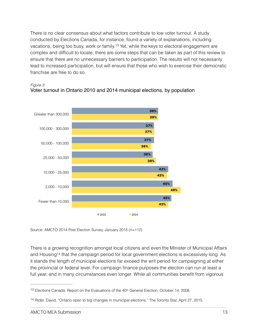There is no clear consensus about what factors contribute to low voter turnout. A study conducted by Elections Canada, for instance, found a variety of explanations, including vacations, being too busy, work or family.<sup>13</sup> Yet, while the keys to electoral engagement are complex and difficult to locate, there are some steps that can be taken as part of this review to ensure that there are no unnecessary barriers to participation. The results will not necessarily lead to increased participation, but will ensure that those who wish to exercise their democratic franchise are free to do so.







Source: AMCTO 2014 Post Election Survey, January 2015 (n=112)

There is a growing recognition amongst local citizens and even the Minister of Municipal Affairs and Housing<sup>14</sup> that the campaign period for local government elections is excessively long. As it stands the length of municipal elections far exceed the writ period for campaigning at either the provincial or federal level. For campaign finance purposes the election can run at least a full year, and in many circumstances even longer. While all communities benefit from vigorous

<sup>&</sup>lt;sup>13</sup> Elections Canada, Report on the Evaluations of the  $40th$  General Election, October 14, 2008.

<sup>&</sup>lt;sup>14</sup> Rider, David, "Ontario open to big changes in municipal elections," The Toronto Star, April 27, 2015.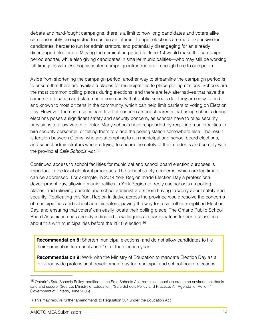debate and hard-fought campaigns, there is a limit to how long candidates and voters alike can reasonably be expected to sustain an interest. Longer elections are more expensive for candidates, harder to run for administrators, and potentially disengaging for an already disengaged electorate. Moving the nomination period to June 1st would make the campaign period shorter, while also giving candidates in smaller municipalities—who may still be working full-time jobs with less sophisticated campaign infrastructure—enough time to campaign.

Aside from shortening the campaign period, another way to streamline the campaign period is to ensure that there are available places for municipalities to place polling stations. Schools are the most common polling places during elections, and there are few alternatives that have the same size, location and stature in a community that public schools do. They are easy to find and known to most citizens in the community, which can help limit barriers to voting on Election Day. However, there is a significant level of concern amongst parents that using schools during elections poses a significant safety and security concern, as schools have to relax security provisions to allow voters to enter. Many schools have responded by requiring municipalities to hire security personnel, or telling them to place the polling station somewhere else. The result is tension between Clerks, who are attempting to run municipal and school board elections, and school administrators who are trying to ensure the safety of their students and comply with the provincial *Safe Schools Act*.15

Continued access to school facilities for municipal and school board election purposes is important to the local electoral processes. The school safety concerns, which are legitimate, can be addressed. For example, in 2014 York Region made Election Day a professional development day, allowing municipalities in York Region to freely use schools as polling places, and relieving parents and school administrators from having to worry about safety and security. Replicating this York Region initiative across the province would resolve the concerns of municipalities and school administrators, paving the way for a smoother, simplified Election Day, and ensuring that voters' can easily locate their polling place. The Ontario Public School Board Association has already indicated its willingness to participate in further discussions about this with municipalities before the 2018 election. 16

**Recommendation 8:** Shorten municipal elections, and do not allow candidates to file their nomination form until June 1st of the election year

**Recommendation 9:** Work with the Ministry of Education to mandate Election Day as a province-wide professional development day for municipal and school-board elections

<sup>&</sup>lt;sup>15</sup> Ontario's Safe Schools Policy, codified in the Safe Schools Act, requires schools to create an environment that is safe and secure. (Source: Ministry of Education, "Safe Schools Policy and Practice: An Agenda for Action," Government of Ontario, June 2006).

<sup>&</sup>lt;sup>16</sup> This may require further amendments to Regulation 304 under the Education Act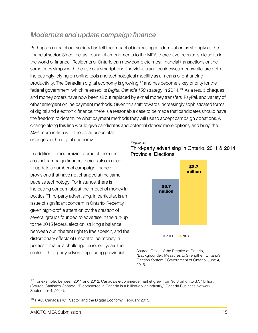## *Modernize and update campaign finance*

Perhaps no area of our society has felt the impact of increasing modernization as strongly as the financial sector. Since the last round of amendments to the MEA, there have been seismic shifts in the world of finance. Residents of Ontario can now complete most financial transactions online, sometimes simply with the use of a smartphone. Individuals and businesses meanwhile, are both increasingly relying on online tools and technological mobility as a means of enhancing productivity. The Canadian digital economy is growing,  $17$  and has become a key priority for the federal government, which released its *Digital Canada 150* strategy in 2014.<sup>18</sup> As a result, cheques and money orders have now been all but replaced by e-mail money transfers, PayPal, and variety of other emergent online payment methods. Given this shift towards increasingly sophisticated forms of digital and electronic finance, there is a reasonable case to be made that candidates should have the freedom to determine what payment methods they will use to accept campaign donations. A change along this line would give candidates and potential donors more options, and bring the *MEA* more in-line with the broader societal

changes to the digital economy.

In addition to modernizing some of the rules around campaign finance, there is also a need to update a number of campaign finance provisions that have not changed at the same pace as technology. For instance, there is increasing concern about the impact of money in politics. Third-party advertising, in particular, is an issue of significant concern in Ontario. Recently given high-profile attention by the creation of several groups founded to advertise in the run-up to the 2015 federal election, striking a balance between our inherent right to free speech, and the distortionary effects of uncontrolled money in politics remains a challenge. In recent years the scale of third-party advertising during provincial

#### *Figure 4:* Third-party advertising in Ontario, 2011 & 2014 Provincial Elections



Source: Office of the Premier of Ontario, "Backgrounder: Measures to Strengthen Ontario's Election System," Government of Ontario, June 4, 2015.

 $17$  For example, between 2011 and 2012, Canada's e-commerce market grew from \$6.6 billion to \$7.7 billion. (Source: Statistics Canada, "E-commerce in Canada is a billion-dollar industry," Canada Business Network, September 4, 2014).

<sup>&</sup>lt;sup>18</sup> ITAC, Canada's ICT Sector and the Digital Economy, February 2015.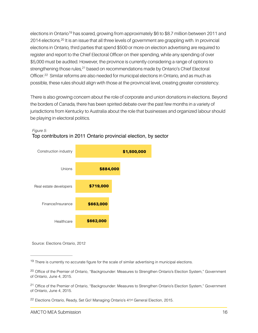elections in Ontario<sup>19</sup> has soared, growing from approximately \$6 to \$8.7 million between 2011 and 2014 elections.<sup>20</sup> It is an issue that all three levels of government are grappling with. In provincial elections in Ontario, third parties that spend \$500 or more on election advertising are required to register and report to the Chief Electoral Officer on their spending, while any spending of over \$5,000 must be audited. However, the province is currently considering a range of options to strengthening those rules, <sup>21</sup> based on recommendations made by Ontario's Chief Electoral Officer.<sup>22</sup> Similar reforms are also needed for municipal elections in Ontario, and as much as possible, these rules should align with those at the provincial level, creating greater consistency.

There is also growing concern about the role of corporate and union donations in elections. Beyond the borders of Canada, there has been spirited debate over the past few months in a variety of jurisdictions from Kentucky to Australia about the role that businesses and organized labour should be playing in electoral politics.



#### *Figure 5:* Top contributors in 2011 Ontario provincial election, by sector

Source: Elections Ontario, 2012

 $19$  There is currently no accurate figure for the scale of similar advertising in municipal elections.

<sup>&</sup>lt;sup>20</sup> Office of the Premier of Ontario, "Backgrounder: Measures to Strengthen Ontario's Election System," Government of Ontario, June 4, 2015.

<sup>&</sup>lt;sup>21</sup> Office of the Premier of Ontario, "Backgrounder: Measures to Strengthen Ontario's Election System," Government of Ontario, June 4, 2015.

<sup>&</sup>lt;sup>22</sup> Elections Ontario, Ready, Set Go! Managing Ontario's 41<sup>st</sup> General Election, 2015.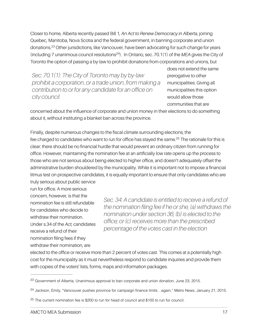Closer to home, Alberta recently passed Bill 1*, An Act to Renew Democracy in Alberta*, joining Quebec, Manitoba, Nova Scotia and the federal government, in banning corporate and union donations.<sup>23</sup> Other jurisdictions, like Vancouver, have been advocating for such change for years (including 7 unanimous council resolutions<sup>24</sup>). In Ontario, sec. 70.1(1) of the *MEA* gives the City of Toronto the option of passing a by-law to prohibit donations from corporations and unions, but

*Sec. 70.1(1): The City of Toronto may by by-law prohibit a corporation…or a trade union…from making a contribution to or for any candidate for an office on city council*

does not extend the same prerogative to other municipalities. Giving all municipalities this option would allow those communities that are

concerned about the influence of corporate and union money in their elections to do something about it, without instituting a blanket ban across the province.

Finally, despite numerous changes to the fiscal climate surrounding elections, the fee charged to candidates who want to run for office has stayed the same.<sup>25</sup> The rationale for this is clear: there should be no financial hurdle that would prevent an ordinary citizen from running for office. However, maintaining the nomination fee at an artificially low rate opens up the process to those who are not serious about being elected to higher office, and doesn't adequately offset the administrative burden shouldered by the municipality. While it is important not to impose a financial litmus test on prospective candidates, it is equally important to ensure that only candidates who are

truly serious about public service run for office. A more serious concern, however, is that the nomination fee is still refundable for candidates who decide to withdraw their nomination. Under s.34 of the *Act*, candidates receive a refund of their nomination filing fees if they withdraw their nomination, are

*Sec. 34: A candidate is entitled to receive a refund of the nomination filing fee if he or she, (a) withdraws the nomination under section 36; (b) is elected to the office; or (c) receives more than the prescribed percentage of the votes cast in the election*

elected to the office or receive more than 2 percent of votes cast. This comes at a potentially high cost for the municipality as it must nevertheless respond to candidate inquiries and provide them with copies of the voters' lists, forms, maps and information packages.

<sup>&</sup>lt;sup>23</sup> Government of Alberta, Unanimous approval to ban corporate and union donation, June 23, 2015.

<sup>&</sup>lt;sup>24</sup> Jackson, Emily, "Vancouver pushes province for campaign finance limits...again," Metro News, January 21, 2015.

 $25$  The current nomination fee is \$200 to run for head of council and \$100 to run for council.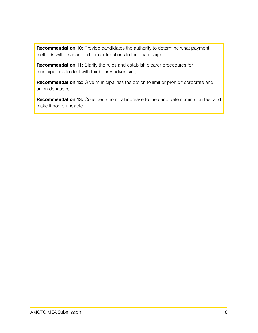**Recommendation 10:** Provide candidates the authority to determine what payment methods will be accepted for contributions to their campaign

**Recommendation 11:** Clarify the rules and establish clearer procedures for municipalities to deal with third party advertising

**Recommendation 12:** Give municipalities the option to limit or prohibit corporate and union donations

**Recommendation 13:** Consider a nominal increase to the candidate nomination fee, and make it nonrefundable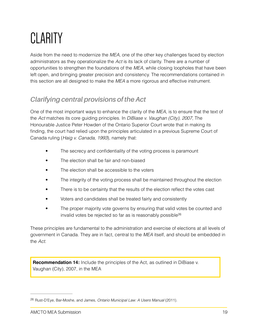# **CLARITY**

Aside from the need to modernize the *MEA*, one of the other key challenges faced by election administrators as they operationalize the *Act* is its lack of clarity. There are a number of opportunities to strengthen the foundations of the *MEA,* while closing loopholes that have been left open, and bringing greater precision and consistency. The recommendations contained in this section are all designed to make the *MEA* a more rigorous and effective instrument.

## *Clarifying central provisions of the Act*

One of the most important ways to enhance the clarity of the *MEA,* is to ensure that the text of the *Act* matches its core guiding principles. In *DiBiase v. Vaughan (City), 2007*, The Honourable Justice Peter Howden of the Ontario Superior Court wrote that in making its finding, the court had relied upon the principles articulated in a previous Supreme Court of Canada ruling (*Haig v. Canada, 1993*), namely that:

- The secrecy and confidentiality of the voting process is paramount
- The election shall be fair and non-biased
- The election shall be accessible to the voters
- The integrity of the voting process shall be maintained throughout the election
- There is to be certainty that the results of the election reflect the votes cast
- Voters and candidates shall be treated fairly and consistently
- The proper majority vote governs by ensuring that valid votes be counted and invalid votes be rejected so far as is reasonably possible<sup>26</sup>

These principles are fundamental to the administration and exercise of elections at all levels of government in Canada. They are in fact, central to the *MEA* itself, and should be embedded in the *Act*.

**Recommendation 14:** Include the principles of the Act, as outlined in DiBiase v. Vaughan (City), 2007, in the MEA

Rust-D'Eye, Bar-Moshe, and James, *Ontario Municipal Law: A Users Manual* (2011). 26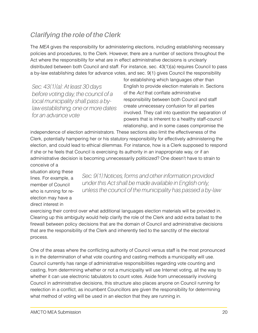## *Clarifying the role of the Clerk*

The *MEA* gives the responsibility for administering elections, including establishing necessary policies and procedures, to the Clerk. However, there are a number of sections throughout the Act where the responsibility for what are in effect administrative decisions is unclearly distributed between both Council and staff. For instance, sec. 43(1)(a) requires Council to pass a by-law establishing dates for advance votes, and sec. 9(1) gives Council the responsibility

*Sec. 43(1)(a): At least 30 days before voting day, the council of a local municipality shall pass a bylaw establishing, one or more dates for an advance vote*

for establishing which languages other than English to provide election materials in. Sections of the *Act* that conflate administrative responsibility between both Council and staff create unnecessary confusion for all parties involved. They call into question the separation of powers that is inherent to a healthy staff-council relationship, and in some cases compromise the

independence of election administrators. These sections also limit the effectiveness of the Clerk, potentially hampering her or his statutory responsibility for effectively administering the election, and could lead to ethical dilemmas. For instance, how is a Clerk supposed to respond if she or he feels that Council is exercising its authority in an inappropriate way, or if an administrative decision is becoming unnecessarily politicized? One doesn't have to strain to conceive of a

situation along these lines. For example, a member of Council who is running for reelection may have a direct interest in

*Sec. 9(1):Notices, forms and other information provided under this Act shall be made available in English only, unless the council of the municipality has passed a by-law*

exercising their control over what additional languages election materials will be provided in. Clearing up this ambiguity would help clarify the role of the Clerk and add extra ballast to the firewall between policy decisions that are the domain of Council and administrative decisions that are the responsibility of the Clerk and inherently tied to the sanctity of the electoral process.

One of the areas where the conflicting authority of Council versus staff is the most pronounced is in the determination of what vote counting and casting methods a municipality will use. Council currently has range of administrative responsibilities regarding vote counting and casting, from determining whether or not a municipality will use Internet voting, all the way to whether it can use electronic tabulators to count votes. Aside from unnecessarily involving Council in administrative decisions, this structure also places anyone on Council running for reelection in a conflict, as incumbent Councillors are given the responsibility for determining what method of voting will be used in an election that they are running in.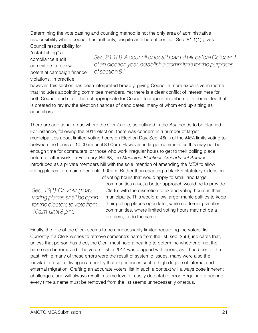Determining the vote casting and counting method is not the only area of administrative responsibility where council has authority, despite an inherent conflict. Sec. 81.1(1) gives Council responsibility for

"establishing" a compliance audit committee to review potential campaign finance violations. In practice,

*Sec. 81.1(1): A council or local board shall, before October 1 of an election year, establish a committee for the purposes of section 81*

however, this section has been interpreted broadly, giving Council a more expansive mandate that includes appointing committee members. Yet there is a clear conflict of interest here for both Council and staff. It is not appropriate for Council to appoint members of a committee that is created to review the election finances of candidates, many of whom end up sitting as councillors.

There are additional areas where the Clerk's role, as outlined in the *Act*, needs to be clarified. For instance, following the 2014 election, there was concern in a number of larger municipalities about limited voting hours on Election Day. Sec. 46(1) of the *MEA* limits voting to between the hours of 10:00am until 8:00pm. However, in larger communities this may not be enough time for commuters, or those who work irregular hours to get to their polling place before or after work. In February, Bill 68, the *Municipal Elections Amendment Act* was introduced as a private members bill with the sole intention of amending the *MEA* to allow voting places to remain open until 9:00pm. Rather than enacting a blanket statutory extension

*Sec. 46(1): On voting day, voting places shall be open for the electors to vote from 10a.m. until 8 p.m.*

of voting hours that would apply to small and large communities alike, a better approach would be to provide Clerk's with the discretion to extend voting hours in their municipality. This would allow larger municipalities to keep their polling places open later, while not forcing smaller communities, where limited voting hours may not be a problem, to do the same.

Finally, the role of the Clerk seems to be unnecessarily limited regarding the voters' list. Currently if a Clerk wishes to remove someone's name from the list, sec. 25(3) indicates that, unless that person has died, the Clerk must hold a hearing to determine whether or not the name can be removed. The voters' list in 2014 was plagued with errors, as it has been in the past. While many of these errors were the result of systemic issues, many were also the inevitable result of living in a country that experiences such a high degree of internal and external migration. Crafting an accurate voters' list in such a context will always pose inherent challenges, and will always result in some level of easily detectable error. Requiring a hearing every time a name must be removed from the list seems unnecessarily onerous.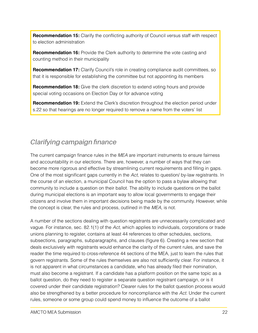**Recommendation 15:** Clarify the conflicting authority of Council versus staff with respect to election administration

**Recommendation 16:** Provide the Clerk authority to determine the vote casting and counting method in their municipality

**Recommendation 17:** Clarify Council's role in creating compliance audit committees, so that it is responsible for establishing the committee but not appointing its members

**Recommendation 18:** Give the clerk discretion to extend voting hours and provide special voting occasions on Election Day or for advance voting

**Recommendation 19:** Extend the Clerk's discretion throughout the election period under s.22 so that hearings are no longer required to remove a name from the voters' list

## *Clarifying campaign finance*

The current campaign finance rules in the *MEA* are important instruments to ensure fairness and accountability in our elections. There are, however, a number of ways that they can become more rigorous and effective by streamlining current requirements and filling in gaps. One of the most significant gaps currently in the *Act*, relates to question/ by-law registrants. In the course of an election, a municipal Council has the option to pass a bylaw allowing that community to include a question on their ballot. The ability to include questions on the ballot during municipal elections is an important way to allow local governments to engage their citizens and involve them in important decisions being made by the community. However, while the concept is clear, the rules and process, outlined in the *MEA*, is not.

A number of the sections dealing with question registrants are unnecessarily complicated and vague. For instance, sec. 82.1(1) of the *Act*, which applies to individuals, corporations or trade unions planning to register, contains at least 44 references to other schedules, sections, subsections, paragraphs, subparagraphs, and clauses (figure 6). Creating a new section that deals exclusively with registrants would enhance the clarity of the current rules, and save the reader the time required to cross-reference 44 sections of the MEA, just to learn the rules that govern registrants. Some of the rules themselves are also not sufficiently clear. For instance, it is not apparent in what circumstances a candidate, who has already filed their nomination, must also become a registrant. If a candidate has a platform position on the same topic as a ballot question, do they need to register a separate question registrant campaign, or is it covered under their candidate registration? Clearer rules for the ballot question process would also be strengthened by a better procedure for noncompliance with the *Act*. Under the current rules, someone or some group could spend money to influence the outcome of a ballot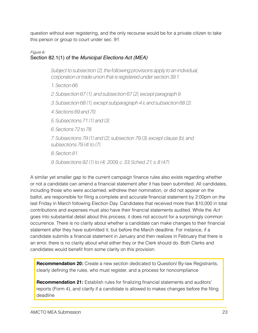question without ever registering, and the only recourse would be for a private citizen to take this person or group to court under sec. 91.

## *Figure 6:*

## Section 82.1(1) of the *Municipal Elections Act (MEA)*

*Subject to subsection (2), the following provisions apply to an individual, corporation or trade union that is registered under section 39.1:* 

- *1. Section 66.*
- *2. Subsection 67 (1), and subsection 67 (2), except paragraph 9.*
- *3. Subsection 68 (1), except subparagraph 4 ii, and subsection 68 (2).*
- *4. Sections 69 and 70.*
- *5. Subsections 71 (1) and (3).*
- *6. Sections 72 to 78.*
- *7. Subsections 79 (1) and (2), subsection 79 (3), except clause (b), and subsections 79 (4) to (7).*
- *8. Section 81.*
- *9. Subsections 92 (1) to (4). 2009, c. 33, Sched. 21, s. 8 (47).*

A similar yet smaller gap to the current campaign finance rules also exists regarding whether or not a candidate can amend a financial statement after it has been submitted. All candidates, including those who were acclaimed, withdrew their nomination, or did not appear on the ballot, are responsible for filing a complete and accurate financial statement by 2:00pm on the last Friday in March following Election Day. Candidates that received more than \$10,000 in total contributions and expenses must also have their financial statements audited. While the *Act* goes into substantial detail about this process, it does not account for a surprisingly common occurrence. There is no clarity about whether a candidate can make changes to their financial statement after they have submitted it, but before the March deadline. For instance, if a candidate submits a financial statement in January and then realizes in February that there is an error, there is no clarity about what either they or the Clerk should do. Both Clerks and candidates would benefit from some clarity on this provision.

**Recommendation 20:** Create a new section dedicated to Question/ By-law Registrants, clearly defining the rules, who must register, and a process for noncompliance

**Recommendation 21:** Establish rules for finalizing financial statements and auditors' reports (Form 4), and clarify if a candidate is allowed to makes changes before the filing deadline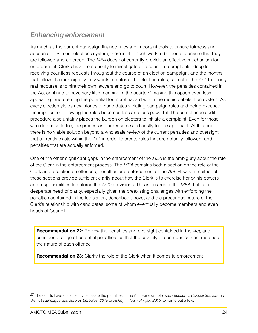## *Enhancing enforcement*

As much as the current campaign finance rules are important tools to ensure fairness and accountability in our elections system, there is still much work to be done to ensure that they are followed and enforced. The *MEA* does not currently provide an effective mechanism for enforcement. Clerks have no authority to investigate or respond to complaints, despite receiving countless requests throughout the course of an election campaign, and the months that follow. If a municipality truly wants to enforce the election rules, set out in the *Act*, their only real recourse is to hire their own lawyers and go to court. However, the penalties contained in the Act continue to have very little meaning in the courts, $27$  making this option even less appealing, and creating the potential for moral hazard within the municipal election system. As every election yields new stories of candidates violating campaign rules and being excused, the impetus for following the rules becomes less and less powerful. The compliance audit procedure also unfairly places the burden on electors to initiate a complaint. Even for those who do chose to file, the process is burdensome and costly for the applicant. At this point, there is no viable solution beyond a wholesale review of the current penalties and oversight that currently exists within the *Act*, in order to create rules that are actually followed, and penalties that are actually enforced.

One of the other significant gaps in the enforcement of the *MEA* is the ambiguity about the role of the Clerk in the enforcement process. The *MEA* contains both a section on the role of the Clerk and a section on offences, penalties and enforcement of the *Act*. However, neither of these sections provide sufficient clarity about how the Clerk is to exercise her or his powers and responsibilities to enforce the *Act's* provisions. This is an area of the *MEA* that is in desperate need of clarity, especially given the preexisting challenges with enforcing the penalties contained in the legislation, described above, and the precarious nature of the Clerk's relationship with candidates, some of whom eventually become members and even heads of Council.

**Recommendation 22:** Review the penalties and oversight contained in the *Act*, and consider a range of potential penalties, so that the severity of each punishment matches the nature of each offence

**Recommendation 23:** Clarify the role of the Clerk when it comes to enforcement

The courts have consistently set aside the penalties in the Act. For example, see *Gleeson v. Conseil Scolaire du* <sup>27</sup> *district catholique des aurores boréales, 2015* or *Ashby v. Town of Ajax, 2015*, to name but a few.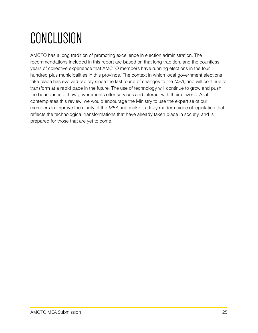# CONCLUSION

AMCTO has a long tradition of promoting excellence in election administration. The recommendations included in this report are based on that long tradition, and the countless years of collective experience that AMCTO members have running elections in the four hundred plus municipalities in this province. The context in which local government elections take place has evolved rapidly since the last round of changes to the *MEA*, and will continue to transform at a rapid pace in the future. The use of technology will continue to grow and push the boundaries of how governments offer services and interact with their citizens. As it contemplates this review, we would encourage the Ministry to use the expertise of our members to improve the clarity of the *MEA* and make it a truly modern piece of legislation that reflects the technological transformations that have already taken place in society, and is prepared for those that are yet to come.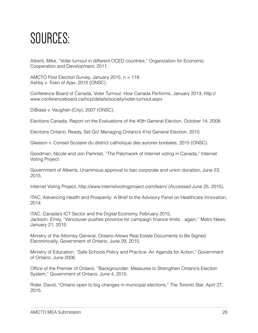## SOURCES:

Alberti, Mike, "Voter turnout in different OCED countries," Organization for Economic Cooperation and Development, 2011.

AMCTO Post Election Survey, January 2015, n = 119. Ashby v. Town of Ajax, 2015 (ONSC).

Conference Board of Canada, Voter Turnout: How Canada Performs, January 2013, http:// www.conferenceboard.ca/hcp/details/society/voter-turnout.aspx

DiBiase v. Vaughan (City), 2007 (ONSC).

Elections Canada, Report on the Evaluations of the 40th General Election, October 14, 2008.

Elections Ontario, Ready, Set Go! Managing Ontario's 41st General Election, 2015.

Gleeson v. Conseil Scolaire du district catholique des aurores boréales, 2015 (ONSC).

Goodman, Nicole and Jon Pammet, "The Patchwork of Internet voting in Canada," Internet Voting Project.

Government of Alberta, Unanimous approval to ban corporate and union donation, June 23, 2015.

Internet Voting Project, http://www.internetvotingproject.com/learn/ (Accessed June 25, 2015).

ITAC, Advancing Health and Prosperity: A Brief to the Advisory Panel on Healthcare Innovation, 2014.

ITAC, Canada's ICT Sector and the Digital Economy, February 2015. Jackson, Emily, "Vancouver pushes province for campaign finance limits…again," Metro News, January 21, 2015.

Ministry of the Attorney General, Ontario Allows Real Estate Documents to Be Signed Electronically, Government of Ontario, June 29, 2015.

Ministry of Education, "Safe Schools Policy and Practice: An Agenda for Action," Government of Ontario, June 2006.

Office of the Premier of Ontario, "Backgrounder: Measures to Strengthen Ontario's Election System," Government of Ontario, June 4, 2015.

Rider, David, "Ontario open to big changes in municipal elections," The Toronto Star, April 27, 2015.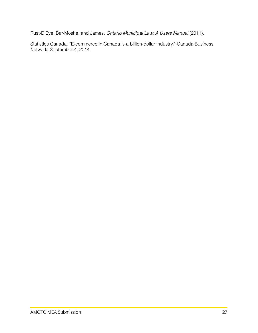Rust-D'Eye, Bar-Moshe, and James, *Ontario Municipal Law: A Users Manual* (2011).

Statistics Canada, "E-commerce in Canada is a billion-dollar industry," Canada Business Network, September 4, 2014.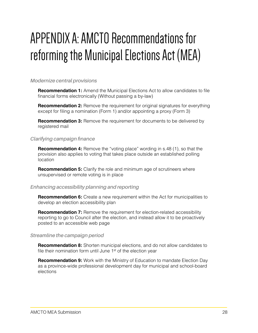## APPENDIX A: AMCTO Recommendations for reforming the Municipal Elections Act (MEA)

## *Modernize central provisions*

**Recommendation 1:** Amend the Municipal Elections Act to allow candidates to file financial forms electronically (Without passing a by-law)

**Recommendation 2:** Remove the requirement for original signatures for everything except for filing a nomination (Form 1) and/or appointing a proxy (Form 3)

**Recommendation 3:** Remove the requirement for documents to be delivered by registered mail

### *Clarifying campaign finance*

**Recommendation 4:** Remove the "voting place" wording in s.48 (1), so that the provision also applies to voting that takes place outside an established polling location

**Recommendation 5:** Clarify the role and minimum age of scrutineers where unsupervised or remote voting is in place

## *Enhancing accessibility planning and reporting*

**Recommendation 6:** Create a new requirement within the Act for municipalities to develop an election accessibility plan

**Recommendation 7:** Remove the requirement for election-related accessibility reporting to go to Council after the election, and instead allow it to be proactively posted to an accessible web page

#### *Streamline the campaign period*

**Recommendation 8:** Shorten municipal elections, and do not allow candidates to file their nomination form until June 1<sup>st</sup> of the election year

**Recommendation 9:** Work with the Ministry of Education to mandate Election Day as a province-wide professional development day for municipal and school-board elections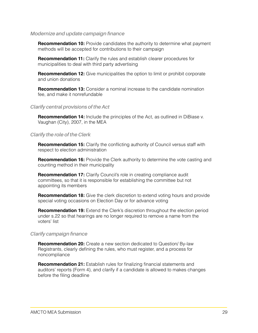#### *Modernize and update campaign finance*

**Recommendation 10:** Provide candidates the authority to determine what payment methods will be accepted for contributions to their campaign

**Recommendation 11:** Clarify the rules and establish clearer procedures for municipalities to deal with third party advertising

**Recommendation 12:** Give municipalities the option to limit or prohibit corporate and union donations

**Recommendation 13:** Consider a nominal increase to the candidate nomination fee, and make it nonrefundable

### *Clarify central provisions of the Act*

**Recommendation 14:** Include the principles of the Act, as outlined in DiBiase v. Vaughan (City), 2007, in the MEA

## *Clarify the role of the Clerk*

**Recommendation 15:** Clarify the conflicting authority of Council versus staff with respect to election administration

**Recommendation 16:** Provide the Clerk authority to determine the vote casting and counting method in their municipality

**Recommendation 17:** Clarify Council's role in creating compliance audit committees, so that it is responsible for establishing the committee but not appointing its members

**Recommendation 18:** Give the clerk discretion to extend voting hours and provide special voting occasions on Election Day or for advance voting

**Recommendation 19:** Extend the Clerk's discretion throughout the election period under s.22 so that hearings are no longer required to remove a name from the voters' list

## *Clarify campaign finance*

**Recommendation 20:** Create a new section dedicated to Question/ By-law Registrants, clearly defining the rules, who must register, and a process for noncompliance

**Recommendation 21:** Establish rules for finalizing financial statements and auditors' reports (Form 4), and clarify if a candidate is allowed to makes changes before the filing deadline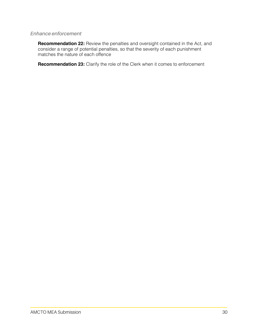### *Enhance enforcement*

**Recommendation 22:** Review the penalties and oversight contained in the Act, and consider a range of potential penalties, so that the severity of each punishment matches the nature of each offence

**Recommendation 23:** Clarify the role of the Clerk when it comes to enforcement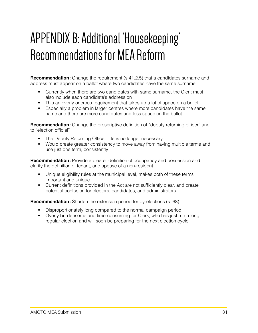## APPENDIX B: Additional 'Housekeeping' Recommendations for MEA Reform

**Recommendation:** Change the requirement (s.41.2.5) that a candidates surname and address must appear on a ballot where two candidates have the same surname

- Currently when there are two candidates with same surname, the Clerk must also include each candidate's address on
- This an overly onerous requirement that takes up a lot of space on a ballot
- Especially a problem in larger centres where more candidates have the same name and there are more candidates and less space on the ballot

**Recommendation:** Change the proscriptive definition of "deputy returning officer" and to "election official"

- The Deputy Returning Officer title is no longer necessary
- Would create greater consistency to move away from having multiple terms and use just one term, consistently

**Recommendation:** Provide a clearer definition of occupancy and possession and clarify the definition of tenant, and spouse of a non-resident

- Unique eligibility rules at the municipal level, makes both of these terms important and unique
- Current definitions provided in the Act are not sufficiently clear, and create potential confusion for electors, candidates, and administrators

**Recommendation:** Shorten the extension period for by-elections (s. 68)

- Disproportionately long compared to the normal campaign period
- Overly burdensome and time-consuming for Clerk, who has just run a long regular election and will soon be preparing for the next election cycle